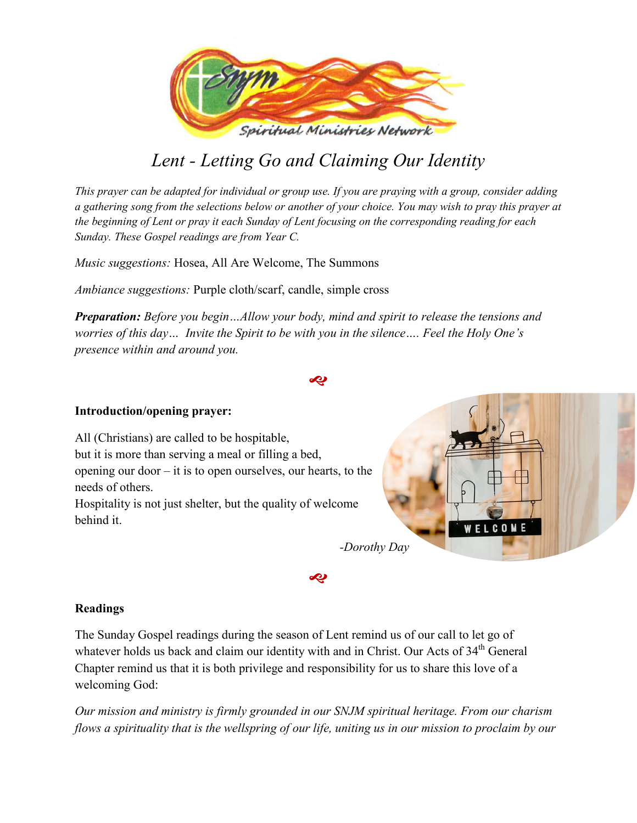

# *Lent - Letting Go and Claiming Our Identity*

*This prayer can be adapted for individual or group use. If you are praying with a group, consider adding a gathering song from the selections below or another of your choice. You may wish to pray this prayer at the beginning of Lent or pray it each Sunday of Lent focusing on the corresponding reading for each Sunday. These Gospel readings are from Year C.* 

*Music suggestions:* Hosea, All Are Welcome, The Summons

*Ambiance suggestions:* Purple cloth/scarf, candle, simple cross

*Preparation: Before you begin…Allow your body, mind and spirit to release the tensions and worries of this day… Invite the Spirit to be with you in the silence…. Feel the Holy One's presence within and around you.* 

**S** 

# **Introduction/opening prayer:**

All (Christians) are called to be hospitable, but it is more than serving a meal or filling a bed, opening our door – it is to open ourselves, our hearts, to the needs of others.

Hospitality is not just shelter, but the quality of welcome behind it.



# **Readings**

The Sunday Gospel readings during the season of Lent remind us of our call to let go of whatever holds us back and claim our identity with and in Christ. Our Acts of 34<sup>th</sup> General Chapter remind us that it is both privilege and responsibility for us to share this love of a welcoming God:

*Our mission and ministry is firmly grounded in our SNJM spiritual heritage. From our charism flows a spirituality that is the wellspring of our life, uniting us in our mission to proclaim by our* 

**S**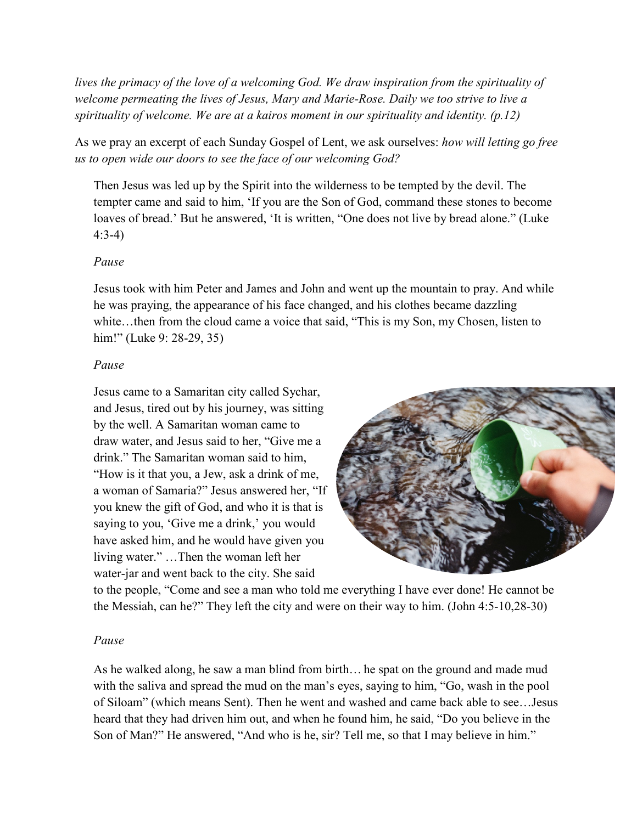*lives the primacy of the love of a welcoming God. We draw inspiration from the spirituality of welcome permeating the lives of Jesus, Mary and Marie-Rose. Daily we too strive to live a spirituality of welcome. We are at a kairos moment in our spirituality and identity. (p.12)* 

As we pray an excerpt of each Sunday Gospel of Lent, we ask ourselves: *how will letting go free us to open wide our doors to see the face of our welcoming God?* 

Then Jesus was led up by the Spirit into the wilderness to be tempted by the devil. The tempter came and said to him, 'If you are the Son of God, command these stones to become loaves of bread.' But he answered, 'It is written, "One does not live by bread alone." (Luke 4:3-4)

# *Pause*

Jesus took with him Peter and James and John and went up the mountain to pray. And while he was praying, the appearance of his face changed, and his clothes became dazzling white...then from the cloud came a voice that said, "This is my Son, my Chosen, listen to him!" (Luke 9: 28-29, 35)

## *Pause*

Jesus came to a Samaritan city called Sychar, and Jesus, tired out by his journey, was sitting by the well. A Samaritan woman came to draw water, and Jesus said to her, "Give me a drink." The Samaritan woman said to him, "How is it that you, a Jew, ask a drink of me, a woman of Samaria?" Jesus answered her, "If you knew the gift of God, and who it is that is saying to you, 'Give me a drink,' you would have asked him, and he would have given you living water." …Then the woman left her water-jar and went back to the city. She said



to the people, "Come and see a man who told me everything I have ever done! He cannot be the Messiah, can he?" They left the city and were on their way to him. (John 4:5-10,28-30)

## *Pause*

As he walked along, he saw a man blind from birth… he spat on the ground and made mud with the saliva and spread the mud on the man's eyes, saying to him, "Go, wash in the pool of Siloam" (which means Sent). Then he went and washed and came back able to see…Jesus heard that they had driven him out, and when he found him, he said, "Do you believe in the Son of Man?" He answered, "And who is he, sir? Tell me, so that I may believe in him."